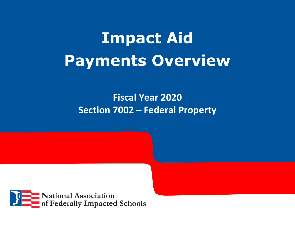# **Impact Aid Payments Overview**

## **Fiscal Year 2020 Section 7002 – Federal Property**

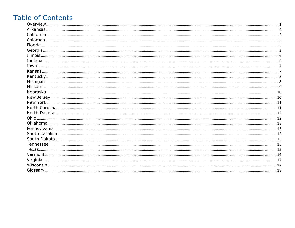### **Table of Contents**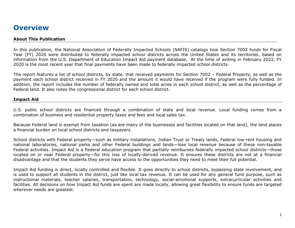#### <span id="page-2-0"></span>**Overview**

#### **About This Publication**

In this publication, the National Association of Federally Impacted Schools (NAFIS) catalogs how Section 7002 funds for Fiscal Year (FY) 2020 were distributed to federally impacted school districts across the United States and its territories, based on information from the U.S. Department of Education Impact Aid payment database. At the time of writing in February 2022, FY 2020 is the most recent year that final payments have been made to federally impacted school districts.

The report features a list of school districts, by state, that received payments for Section 7002 – Federal Property, as well as the payment each school district received in FY 2020 and the amount it would have received if the program were fully funded. In addition, the report includes the number of federally owned and total acres in each school district, as well as the percentage of Federal land. It also notes the congressional district for each school district.

#### **Impact Aid**

U.S. public school districts are financed through a combination of state and local revenue. Local funding comes from a combination of business and residential property taxes and fees and local sales tax.

Because Federal land is exempt from taxation (as are many of the businesses and facilities located on that land), the land places a financial burden on local school districts and taxpayers.

School districts with Federal property—such as military installations, Indian Trust or Treaty lands, Federal low-rent housing and national laboratories, national parks and other Federal buildings and lands—lose local revenue because of these non-taxable Federal activities. Impact Aid is a Federal education program that partially reimburses federally impacted school districts—those located on or near Federal property—for this loss of locally-derived revenue. It ensures these districts are not at a financial disadvantage and that the students they serve have access to the opportunities they need to meet their full potential.

Impact Aid funding is direct, locally controlled and flexible. It goes directly to school districts, bypassing state involvement, and is used to support all students in the district, just like local tax revenue. It can be used for any general fund purpose, such as instructional materials, teacher salaries, transportation, technology, social-emotional supports, extracurricular activities and facilities. All decisions on how Impact Aid funds are spent are made locally, allowing great flexibility to ensure funds are targeted wherever needs are greatest.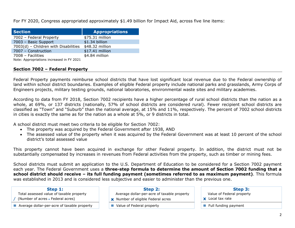For FY 2020, Congress appropriated approximately \$1.49 billion for Impact Aid, across five line items:

| <b>Section</b>                            | <b>Appropriations</b> |
|-------------------------------------------|-----------------------|
| 7002 - Federal Property                   | \$75.31 million       |
| 7003 - Basic Support                      | \$1.34 billion        |
| 7003(d) - Children with Disabilities      | \$48.32 million       |
| 7007 - Construction                       | \$17.41 million       |
| 7008 - Facilities                         | \$4.84 million        |
| Note: Appropriations increased in FY 2021 |                       |

#### **Section 7002 – Federal Property**

Federal Property payments reimburse school districts that have lost significant local revenue due to the Federal ownership of land within school district boundaries. Examples of eligible Federal property include national parks and grasslands, Army Corps of Engineers projects, military testing grounds, national laboratories, environmental waste sites and military academies.

According to data from FY 2018, Section 7002 recipients have a higher percentage of rural school districts than the nation as a whole, at 69%, or 137 districts (nationally, 57% of school districts are considered rural). Fewer recipient school districts are classified as "Town" and "Suburb" than the national average, at 15% and 11%, respectively. The percent of 7002 school districts in cities is exactly the same as for the nation as a whole at 5%, or 9 districts in total.

A school district must meet two criteria to be eligible for Section 7002:

- The property was acquired by the Federal Government after 1938, AND
- The assessed value of the property when it was acquired by the Federal Government was at least 10 percent of the school district's total assessed value

This property cannot have been acquired in exchange for other Federal property. In addition, the district must not be substantially compensated by increases in revenues from Federal activities from the property, such as timber or mining fees.

School districts must submit an application to the U.S. Department of Education to be considered for a Section 7002 payment each year. The Federal Government uses a **three-step formula to determine the amount of Section 7002 funding that a school district should receive – its full funding payment (sometimes referred to as maximum payment)**. This formula was established in 2013 and is considered less subjective and easier to administer than the previous one.

Total assessed value of taxable property

/ (Number of acres - Federal acres)

 $=$  Average dollar-per-acre of taxable property  $\parallel$   $=$  Value of Federal property  $\parallel$   $=$  Full funding payment

- Average dollar-per-acre of taxable property
- **x** Number of eligible Federal acres
- 

#### **Step 1: Step 2: Step 3:**

- Value of Federal property
- **x** Local tax rate
-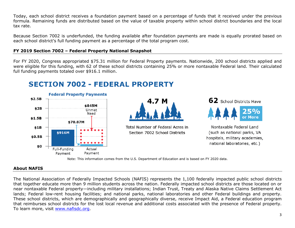Today, each school district receives a foundation payment based on a percentage of funds that it received under the previous formula. Remaining funds are distributed based on the value of taxable property within school district boundaries and the local tax rate.

Because Section 7002 is underfunded, the funding available after foundation payments are made is equally prorated based on each school district's full funding payment as a percentage of the total program cost.

#### **FY 2019 Section 7002 – Federal Property National Snapshot**

For FY 2020, Congress appropriated \$75.31 million for Federal Property payments. Nationwide, 200 school districts applied and were eligible for this funding, with 62 of these school districts containing 25% or more nontaxable Federal land. Their calculated full funding payments totaled over \$916.1 million.

#### **SECTION 7002 - FEDERAL PROPERTY**





Total Number of Federal Acres in Section 7002 School Districts



Nontaxable Federal Land (such as national parks, VA hospitals, military academies, national laboratories, etc.)

Note: This information comes from the U.S. Department of Education and is based on FY 2020 data.

#### **About NAFIS**

The National Association of Federally Impacted Schools (NAFIS) represents the 1,100 federally impacted public school districts that together educate more than 9 million students across the nation. Federally impacted school districts are those located on or near nontaxable Federal property—including military installations; Indian Trust, Treaty and Alaska Native Claims Settlement Act lands; Federal low-rent housing facilities; and national parks, national laboratories and other Federal buildings and property. These school districts, which are demographically and geographically diverse, receive Impact Aid, a Federal education program that reimburses school districts for the lost local revenue and additional costs associated with the presence of Federal property. To learn more, visit [www.nafisdc.org.](http://www.nafisdc.org/)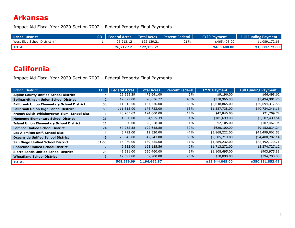#### <span id="page-5-0"></span>**Arkansas**

Impact Aid Fiscal Year 2020 Section 7002 – Federal Property Final Payments

| <b>School District</b>       |           |            | CD   Federal Acres   Total Acres   Percent Federal | <b>FY20 Payment</b> | <b>Full Funding Payment</b> |
|------------------------------|-----------|------------|----------------------------------------------------|---------------------|-----------------------------|
| West Side School District #4 | 26,212.12 | 122,139.21 | 21%                                                | \$465,408,00        | \$1,089,172.68              |
| <b>TOTAL</b>                 | 26.212.12 | 122,139.21 |                                                    | \$465,408,00        | \$1,089,172.68              |

#### <span id="page-5-1"></span>**California**

| <b>School District</b>                            | <b>CD</b>      | <b>Federal Acres</b> | <b>Total Acres</b> | <b>Percent Federal</b> | <b>FY20 Payment</b> | <b>Full Funding Payment</b> |
|---------------------------------------------------|----------------|----------------------|--------------------|------------------------|---------------------|-----------------------------|
| <b>Alpine County Unified School District</b>      | 4              | 22,255.29            | 475,641.00         | 5%                     | \$9,196.00          | \$66,498.62                 |
| <b>Bolinas-Stinson Union School District</b>      | $\overline{2}$ | 12,072.00            | 26,636.72          | 45%                    | \$270,966.00        | \$2,494,901.25              |
| <b>Fallbrook Union Elementary School District</b> | 50             | 111,512.00           | 164,336.00         | 68%                    | \$2,648,865.00      | \$70,694,317.58             |
| <b>Fallbrook Union High School District</b>       | 50             | 111,512.00           | 176,723.00         | 63%                    | \$1,587,738.00      | \$40,734,346.16             |
| French Gulch-Whiskeytown Elem. School Dist.       |                | 20,905.62            | 124,600.00         | 17%                    | \$47,846.00         | \$21,709.74                 |
| <b>Hueneme Elementary School District</b>         | 26             | 1,550.00             | 4,955.39           | 31%                    | \$181,699.00        | \$2,587,439.54              |
| <b>Island Union Elementary School District</b>    | 21             | 8,000.00             | 26,218.40          | 31%                    | \$2,105.00          | \$107,467.94                |
| <b>Lompoc Unified School District</b>             | 24             | 57,952.38            | 192,658.80         | 30%                    | \$620,100.00        | \$9,152,834.24              |
| Los Alamitos Unif. School Dist.                   | 3              | 5,792.00             | 12,320.00          | 47%                    | \$3,868,222.00      | \$43,499,061.53             |
| <b>Oceanside Unified School District</b>          | 49             | 25,342.00            | 42,243.00          | 60%                    | \$2,585,219.00      | \$94,408,202.14             |
| <b>San Diego Unified School District</b>          | $51 - 53$      | 15,060.00            | 139,535.00         | 11%                    | \$1,289,232.00      | \$82,492,170.71             |
| <b>Shoreline Unified School District</b>          | $\overline{2}$ | 49,332.00            | 123,135.56         | 40%                    | \$1,713,272.00      | \$3,274,727.12              |
| <b>Sierra Sands Unified School District</b>       | 23             | 49,281.00            | 620,460.00         | 8%                     | \$1,108,695.00      | \$903,975.88                |
| <b>Wheatland School District</b>                  | 3              | 17,692.80            | 67,200.00          | 26%                    | \$10,890.00         | \$394,200.00                |
| <b>TOTAL</b>                                      |                | 508,259.09           | 2,196,662.87       |                        | \$15,944,045.00     | \$350,831,852.45            |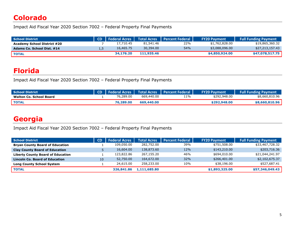### <span id="page-6-0"></span>**Colorado**

Impact Aid Fiscal Year 2020 Section 7002 – Federal Property Final Payments

| School District                    |     |           |            | CD   Federal Acres   Total Acres   Percent Federal | <b>FY20 Payment</b> | <b>Full Funding Payment</b> |
|------------------------------------|-----|-----------|------------|----------------------------------------------------|---------------------|-----------------------------|
| <b>Academy School District #20</b> |     | 17,710.45 | 81,541.46  | 22%                                                | \$1,762,828.00      | \$19,865,360.32             |
| Adams Co. School Dist. #14         | 1.5 | 16,465.75 | 30,394.00  | 54%                                                | \$3,088,096.00      | \$27,213,157.43             |
| <b>TOTAL</b>                       |     | 34,176,20 | 111,935,46 |                                                    | \$4,850,924.00      | \$47,078,517.75             |

### <span id="page-6-1"></span>**Florida**

Impact Aid Fiscal Year 2020 Section 7002 – Federal Property Final Payments

| School District                |           |            | CD   Federal Acres   Total Acres   Percent Federal | <b>FY20 Payment</b> | <b>Full Funding Payment</b> |
|--------------------------------|-----------|------------|----------------------------------------------------|---------------------|-----------------------------|
| <b>Walton Co. School Board</b> | 76,289.00 | 669,440.00 | 11%                                                | \$292,948,00        | \$8,660,810.96              |
| <b>TOTAL</b>                   | 76,289.00 | 669,440.00 |                                                    | \$292,948,00        | \$8,660,810.96              |

### <span id="page-6-2"></span>**Georgia**

| <b>School District</b>                   | <b>CD</b> | <b>Federal Acres</b> | <b>Total Acres</b> | <b>Percent Federal</b> | <b>FY20 Payment</b> | <b>Full Funding Payment</b> |
|------------------------------------------|-----------|----------------------|--------------------|------------------------|---------------------|-----------------------------|
| <b>Bryan County Board of Education</b>   |           | 109,050.00           | 282,752.00         | 39%                    | \$751,508.00        | \$33,467,728.32             |
| <b>Clay County Board of Education</b>    |           | 16,604.00            | 138,873.60         | 12%                    | \$143,210.00        | \$203,716.36                |
| <b>Liberty County Board of Education</b> |           | 123,822.86           | 267,155.20         | 46%                    | \$694,010.00        | \$21,044,241.97             |
| <b>Lincoln Co. Board of Education</b>    | 10        | 52,750.00            | 164,672.00         | 32%                    | \$266,401.00        | \$2,102,675.37              |
| <b>Long County School System</b>         |           | 24,615.00            | 258,233.00         | 10%                    | \$38,196.00         | \$527,687.41                |
| <b>TOTAL</b>                             |           | 326,841,86           | 1,111,685.80       |                        | \$1,893,325.00      | \$57,346,049.43             |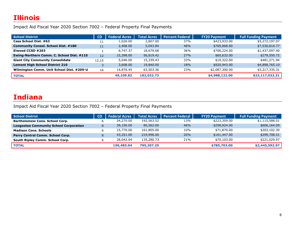<span id="page-7-0"></span>Impact Aid Fiscal Year 2020 Section 7002 – Federal Property Final Payments

| School District                            | <b>CD</b> | <b>Federal Acres</b> | <b>Total Acres</b> | <b>Percent Federal</b> | <b>FY20 Payment</b> | <b>Full Funding Payment</b> |
|--------------------------------------------|-----------|----------------------|--------------------|------------------------|---------------------|-----------------------------|
| Cass School Dist. #63                      | 11        | 1,026.00             | 2,807.00           | 37%                    | \$423,933.00        | \$5,272,197.07              |
| <b>Community Consol. School Dist. #180</b> | 11        | 2,408.00             | 5,043.84           | 48%                    | \$769,868.00        | \$7,530,814.77              |
| Elwood CCSD #203                           |           | 6,747.37             | 18,679.68          | 36%                    | \$706,224.00        | \$1,437,097.40              |
| Ewing-Northern Comm. C. School Dist. #115  | 12        | 15,398.00            | 56,819.42          | 27%                    | \$60,632.00         | \$279,550.72                |
| <b>Giant City Community Consolidate</b>    | 12.15     | 5,046.00             | 15,339.43          | 33%                    | \$19,322.00         | \$481,271.94                |
| <b>Lemont High School District 210</b>     |           | 3,608.00             | 19,840.00          | 18%                    | \$920,943.00        | \$4,898,765.10              |
| Wilmington Comm. Unit School Dist. #209-U  | 16        | 14,876.45            | 63,503.36          | 23%                    | \$2,087,300.00      | \$3,217,335.31              |
| <b>TOTAL</b>                               |           | 49,109.82            | 182,032.73         |                        | \$4,988,122.00      | \$23,117,032.31             |

#### <span id="page-7-1"></span>**Indiana**

| <b>School District</b>                        | <b>CD</b> | <b>Federal Acres</b> | <b>Total Acres</b> | Percent Federal | <b>FY20 Payment</b> | <b>Full Funding Payment</b> |
|-----------------------------------------------|-----------|----------------------|--------------------|-----------------|---------------------|-----------------------------|
| <b>Bartholomew Cons. School Corp.</b>         |           | 24,270.00            | 192,563.52         | 13%             | \$223,359.00        | \$1,115,588.01              |
| <b>Loogootee Community School Corporation</b> |           | 39,150.00            | 85,562.00          | 46%             | \$258,924.00        | \$606,164.09                |
| <b>Madison Cons. Schools</b>                  |           | 15,770.00            | 161,805.00         | 10%             | \$71,870.00         | \$203,102.39                |
| <b>Perry Central Comm. School Corp.</b>       |           | 43,251.00            | 219,996.00         | 20%             | \$161,447,00        | \$299,708.51                |
| South Ripley Comm. School Corp.               |           | 28,042.04            | 135,280.73         | 21%             | \$70,103.00         | \$221,029.97                |
| <b>TOTAL</b>                                  |           | 150,483,04           | 795,207.25         |                 | \$785,703.00        | \$2,445,592.97              |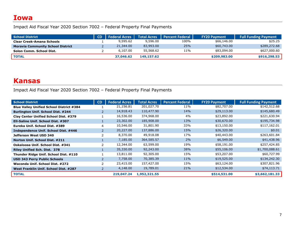#### <span id="page-8-0"></span>**Iowa**

Impact Aid Fiscal Year 2020 Section 7002 – Federal Property Final Payments

| School District                          | <b>CD</b> | <b>Federal Acres</b> | <b>Total Acres</b> | l Percent Federal 1 | <b>FY20 Payment</b> | <b>Full Funding Payment</b> |
|------------------------------------------|-----------|----------------------|--------------------|---------------------|---------------------|-----------------------------|
| <b>Clear Creek-Amana Schools</b>         |           | 9,595.62             | 9,596.00           | 100%                | \$66,146.00         | \$25.25                     |
| <b>Moravia Community School District</b> |           | 21,344.00            | 83,993,00          | 25%                 | \$60,743.00         | \$289,272.68                |
| Solon Comm. School Dist.                 |           | 6,107.00             | 55,568.62          | 11%                 | \$83,094.00         | \$627,000.60                |
| <b>TOTAL</b>                             |           | 37,046.62            | 149,157.62         |                     | \$209,983.00        | \$916,298.53                |

#### <span id="page-8-1"></span>**Kansas**

| <b>School District</b>                          | CD            | <b>Federal Acres</b> | <b>Total Acres</b> | <b>Percent Federal</b> | <b>FY20 Payment</b> | <b>Full Funding Payment</b> |
|-------------------------------------------------|---------------|----------------------|--------------------|------------------------|---------------------|-----------------------------|
| <b>Blue Valley Unified School District #384</b> |               | 21,156.81            | 201,027.70         | 11%                    | \$82,707.00         | \$142,512.68                |
| <b>Burlington Unif. School Dist. #244</b>       |               | 14,918.43            | 110,477.90         | 14%                    | \$29,113.00         | \$145,680.49                |
| Clay Center Unified School Dist. #379           |               | 16,536.00            | 374,968.00         | 4%                     | \$23,892.00         | \$221,630.94                |
| Ell-Saline Unif. School Dist. #307              |               | 23,302.00            | 185,908.00         | 13%                    | \$30,670.00         | \$195,734.98                |
| Eureka Unif. School Dist. #389                  | 4             | 10,546.00            | 31,801.90          | 33%                    | \$13,150.00         | \$117,162.01                |
| Independence Unif. School Dist. #446            | $\mathcal{P}$ | 20,227.00            | 137,886.00         | 15%                    | \$26,320.00         | \$0.01                      |
| Jefferson West USD 340                          |               | 8,370.00             | 49,918.08          | 17%                    | \$40,443.00         | \$263,601.84                |
| Norton Unif. School Dist. #211                  |               | 7,185.00             | 364,585.57         | $2\%$                  | \$6,549.00          | \$41,438.96                 |
| Oskaloosa Unif. School Dist. #341               |               | 12,344.00            | 63,599.00          | 19%                    | \$58,191.00         | \$257,424.85                |
| <b>Riley Unified Sch. Dist. 378</b>             |               | 35,330.00            | 92,243.00          | 38%                    | \$55,106.00         | \$1,700,088.61              |
| Thunder Ridge Unif. School Dist. #110           |               | 13,811.00            | 92,305.00          | 15%                    | \$53,207.00         | \$60,727.99                 |
| <b>USD 343 Perry Public Schools</b>             |               | 7,758.00             | 70,385.39          | 11%                    | \$19,525.00         | \$134,242.30                |
| Waconda Unif. School Dist. #272                 |               | 23,415.00            | 157,427.00         | 15%                    | \$63,124.00         | \$307,821.96                |
| West Franklin Unif. School Dist. #287           |               | 4,148.00             | 19,789.01          | 21%                    | \$12,534.00         | \$74,113.71                 |
| <b>TOTAL</b>                                    |               | 219,047.24           | 1,952,321.55       |                        | \$514,531.00        | \$3,662,181.33              |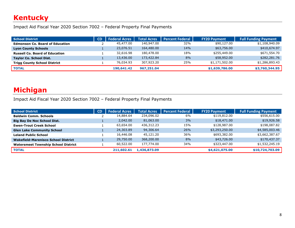### <span id="page-9-0"></span>**Kentucky**

Impact Aid Fiscal Year 2020 Section 7002 – Federal Property Final Payments

| School District                        | CD | <b>Federal Acres</b> | <b>Total Acres</b> | <b>Percent Federal</b> | <b>FY20 Payment</b> | <b>Full Funding Payment</b> |
|----------------------------------------|----|----------------------|--------------------|------------------------|---------------------|-----------------------------|
| <b>Edmonson Co. Board of Education</b> |    | 45,477.00            | 140,947.00         | 32%                    | \$90,127.00         | \$1,108,940.09              |
| <b>Lyon County Schools</b>             |    | 23,076.51            | 164,480.00         | 14%                    | \$63,756.00         | \$410,674.97                |
| <b>Russell Co. Board of Education</b>  |    | 32,616.98            | 180,478.00         | 18%                    | \$255,449.00        | \$671,554.70                |
| <b>Taylor Co. School Dist.</b>         |    | 13,436.00            | 173,422.84         | 8%                     | \$58,952.00         | \$282,281.76                |
| <b>Trigg County School District</b>    |    | 76,034.93            | 307,923,20         | 25%                    | \$1,171,502.00      | \$1,286,893.43              |
| <b>TOTAL</b>                           |    | 190,641.42           | 967,251.04         |                        | \$1,639,786.00      | \$3,760,344.95              |

#### <span id="page-9-1"></span>**Michigan**

| <b>School District</b>                     | <b>CD</b> | <b>Federal Acres</b> | <b>Total Acres</b> | <b>Percent Federal</b> | <b>FY20 Payment</b> | <b>Full Funding Payment</b> |
|--------------------------------------------|-----------|----------------------|--------------------|------------------------|---------------------|-----------------------------|
| <b>Baldwin Comm. Schools</b>               |           | 14,884.64            | 234,096.02         | 6%                     | \$119,812.00        | \$556,615.00                |
| <b>Big Bay De Noc School Dist.</b>         |           | 2,042.00             | 81,063.00          | 3%                     | \$18,471.00         | \$19,926.58                 |
| <b>Ewen-Trout Creek School</b>             |           | 63,654.00            | 436,312.23         | 15%                    | \$128,987.00        | \$198,087.82                |
| <b>Glen Lake Community School</b>          |           | 24,303.89            | 94,306.64          | 26%                    | \$3,293,250.00      | \$4,585,003.46              |
| <b>Leland Public School</b>                |           | 16,446.08            | 45,121.20          | 36%                    | \$693,382.00        | \$3,662,387.67              |
| Wakefield-Marenisco School District        |           | 29,750.00            | 368,200.00         | 8%                     | \$43,726.00         | \$170,437.37                |
| <b>Watersmeet Township School District</b> |           | 60,522.00            | 177,774.00         | 34%                    | \$323,447.00        | \$1,532,245.19              |
| <b>TOTAL</b>                               |           | 211,602.61           | 1,436,873.09       |                        | \$4,621,075.00      | \$10,724,703.09             |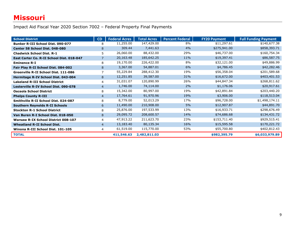### <span id="page-10-0"></span>**Missouri**

| <b>School District</b>                     | CD             | <b>Federal Acres</b> | <b>Total Acres</b> | <b>Percent Federal</b> | <b>FY20 Payment</b> | <b>Full Funding Payment</b> |
|--------------------------------------------|----------------|----------------------|--------------------|------------------------|---------------------|-----------------------------|
| <b>Bunker R-III School Dist. 090-077</b>   | 8              | 11,255.00            | 147,429.00         | 8%                     | \$11,297.61         | \$140,677.38                |
| Center 58 School Dist. 048-080             | 8              | 309.44               | 7,441.63           | 4%                     | \$275,941.00        | \$858,393.71                |
| <b>Chadwick School Dist. R-1</b>           | 5              | 26,060.00            | 88,432.00          | 29%                    | \$46,737.00         | \$160,754.34                |
| East Carter Co. R-II School Dist. 018-047  | $\overline{7}$ | 20,163.48            | 185,642.25         | 11%                    | \$19,397.41         | \$86,587.75                 |
| <b>Eminence R-I</b>                        | 8              | 19,170.00            | 226,422.00         | 8%                     | \$32,121.00         | \$49,886.99                 |
| Fair Play R-II School Dist. 084-002        | 8              | 3,367.00             | 54,887.01          | 6%                     | \$4,786.45          | \$42,282.46                 |
| Greenville R-II School Dist. 111-086       | 7              | 55,229.84            | 288,412.30         | 19%                    | \$56,358.04         | \$201,589.68                |
| Hermitage R-IV School Dist. 043-004        | 8              | 12,251.85            | 39,587.00          | 31%                    | \$16,672.00         | \$403,401.53                |
| <b>Lakeland R-III School District</b>      | 4              | 31,031.07            | 120,890.99         | 26%                    | \$44,847.34         | \$268,811.62                |
| Lesterville R-IV School Dist. 090-078      | $\overline{4}$ | 1,746.00             | 74,114.00          | 2%                     | \$1,176.06          | \$20,917.61                 |
| <b>Osceola School District</b>             | 8              | 15,342.00            | 80,997.00          | 19%                    | \$42,891.84         | \$203,440.20                |
| <b>Phelps County R-III</b>                 | $\overline{4}$ | 17,764.61            | 91,970.96          | 19%                    | \$3,906.00          | \$118,513.04                |
| Smithville R-II School Dist. 024-087       | 8              | 8,779.00             | 52,013.29          | 17%                    | \$96,728.00         | \$1,498,174.11              |
| <b>Southern Reynolds R-II Schools</b>      | 6              | 11,490.00            | 210,908.00         | 5%                     | \$12,907.87         | \$44,891.70                 |
| <b>Stockton R-1 School District</b>        | 8              | 25,876.00            | 197,533.99         | 13%                    | \$16,933.71         | \$298,676.49                |
| Van Buren R-I School Dist. 018-050         | 8              | 29,095.72            | 208,600.57         | 14%                    | \$74,686.68         | \$134,431.72                |
| <b>Warsaw R-IX School District 008-107</b> | 4              | 47,913.22            | 211,623.70         | 23%                    | \$153,711.40        | \$929,515.41                |
| <b>Wheatland R-II School Dist.</b>         | $\overline{4}$ | 13,183.40            | 80,135.34          | 16%                    | \$15,595.58         | \$170,221.72                |
| Winona R-III School Dist. 101-105          | 4              | 61,519.00            | 115,770.00         | 53%                    | \$55,700.80         | \$402,812.43                |
| <b>TOTAL</b>                               |                | 411,546.63           | 2,482,811.03       |                        | \$982,395.79        | \$6,033,979.89              |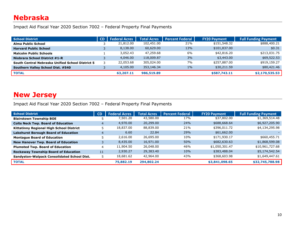#### <span id="page-11-0"></span>**Nebraska**

Impact Aid Fiscal Year 2020 Section 7002 – Federal Property Final Payments

| <b>School District</b>                           | <b>CD</b> | <b>Federal Acres</b> | <b>Total Acres</b> | <b>Percent Federal</b> | <b>FY20 Payment</b> | <b>Full Funding Payment</b> |
|--------------------------------------------------|-----------|----------------------|--------------------|------------------------|---------------------|-----------------------------|
| <b>Alma Public School</b>                        |           | 21,812.00            | 102,451.00         | 21%                    | \$151,548.32        | \$888,400.21                |
| <b>Harvard Public School</b>                     |           | 8,138.00             | 60,629.00          | 13%                    | \$101,837.00        | \$0.31                      |
| <b>Malcolm Public Schools</b>                    |           | 3,052.43             | 47,259.68          | 6%                     | \$42,816.20         | \$213,031.75                |
| <b>Niobrara School District #1-R</b>             |           | 4,046.00             | 118,009.87         | 3%                     | \$3,443.00          | \$69,522.53                 |
| South Central Nebraska Unified School District 5 |           | 22,053.68            | 305,024.00         | 7%                     | \$257,887.00        | \$919,159.27                |
| Southern Valley School Dist. #540                |           | 4,105.00             | 353,146.34         | $1\%$                  | \$30,211.59         | \$80,421.46                 |
| <b>TOTAL</b>                                     |           | 63,207.11            | 986,519.89         |                        | \$587,743.11        | \$2,170,535.53              |

#### <span id="page-11-1"></span>**New Jersey**

| <b>School District</b>                          | CD | <b>Federal Acres</b> | <b>Total Acres</b> | <b>Percent Federal</b> | <b>FY20 Payment</b> | <b>Full Funding Payment</b> |
|-------------------------------------------------|----|----------------------|--------------------|------------------------|---------------------|-----------------------------|
| <b>Blairstown Township BOE</b>                  |    | 7,501.20             | 43,580.00          | 17%                    | \$37,802.00         | \$1,369,514.48              |
| <b>Colts Neck Twp. Board of Education</b>       | 4  | 4,970.00             | 20,299.00          | 24%                    | \$688,668.64        | \$6,927,205.90              |
| <b>Kittatinny Regional High School District</b> |    | 18,837.00            | 88,839.00          | 21%                    | \$396,011.72        | \$4,134,295.98              |
| <b>Lakehurst Borough Board of Education</b>     | 4  | 6.60                 | 22.84              | 29%                    | \$61,662.00         |                             |
| <b>Montague Board of Education</b>              |    | 2,616.00             | 26,695.00          | 10%                    | \$171,930.17        | \$660,455.71                |
| <b>New Hanover Twp. Board of Education</b>      |    | 8,435,00             | 16,971.00          | 50%                    | \$682,630.63        | \$1,868,599.08              |
| <b>Plumsted Twp. Board of Education</b>         | 4  | 11,904.50            | 26,048.00          | 46%                    | \$1,050,301.47      | \$10,961,727.68             |
| <b>Rockaway Township Board of Education</b>     | 11 | 2,930.27             | 29,383.40          | 10%                    | \$383,488.04        | \$5,174,542.54              |
| Sandyston-Walpack Consolidated School Dist.     | 5  | 18,681.62            | 42,964.00          | 43%                    | \$368,603.98        | \$1,649,447.61              |
| <b>TOTAL</b>                                    |    | 75,882.19            | 294,802.24         |                        | \$3,841,098.65      | \$32,745,788.98             |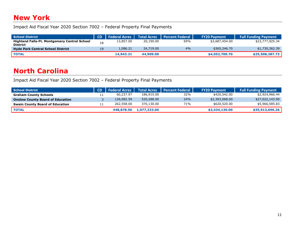#### <span id="page-12-0"></span>**New York**

Impact Aid Fiscal Year 2020 Section 7002 – Federal Property Final Payments

| School District                                                        | CD. | <b>Federal Acres</b> |           | Total Acres   Percent Federal | <b>FY20 Payment</b> | <b>Full Funding Payment</b> |
|------------------------------------------------------------------------|-----|----------------------|-----------|-------------------------------|---------------------|-----------------------------|
| <b>Highland Falls-Ft. Montgomery Central School</b><br><b>District</b> | 18  | 13,857.00            | 20,190.00 | 69%                           | \$3,687,454.00      | \$23,777,925.34             |
| <b>Hyde Park Central School District</b>                               | 19  | 1,086.21             | 24,719.00 | 4%                            | \$365,246,70        | \$1,730,362.39              |
| <b>TOTAL</b>                                                           |     | 14,943.21            | 44,909.00 |                               | \$4,052,700.70      | \$25,508,287.73             |

### <span id="page-12-1"></span>**North Carolina**

| <b>School District</b>                  | <b>CD</b>   Federal Acres | <b>Total Acres</b> | <b>Percent Federal</b> | <b>FY20 Payment</b> | <b>Full Funding Payment</b> |
|-----------------------------------------|---------------------------|--------------------|------------------------|---------------------|-----------------------------|
| <b>Graham County Schools</b>            | 60,237.97                 | 186,915,00         | 32%                    | \$420,542.00        | \$2,924,966.44              |
| <b>Onslow County Board of Education</b> | 126,082.59                | 520,288.00         | 24%                    | \$2,393,068.00      | \$27,022,143.99             |
| <b>Swain County Board of Education</b>  | 262,558.00                | 370,130.00         | 71%                    | \$620,520.00        | \$5,966,585.83              |
| <b>TOTAL</b>                            | 448,878,56                | 1,077,333.00       |                        | \$3,434,130.00      | \$35,913,696.26             |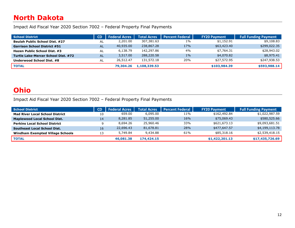### <span id="page-13-0"></span>**North Dakota**

Impact Aid Fiscal Year 2020 Section 7002 – Federal Property Final Payments

| School District                       | <b>CD</b> | <b>Federal Acres</b> | <b>Total Acres</b> | <b>Percent Federal</b> | <b>FY20 Payment</b> | <b>Full Funding Payment</b> |
|---------------------------------------|-----------|----------------------|--------------------|------------------------|---------------------|-----------------------------|
| <b>Beulah Public School Dist. #27</b> | AL        | 2,201.00             | 307,381.63         | $1\%$                  | \$1,152.91          | \$9,108.83                  |
| <b>Garrison School District #51</b>   | <b>AL</b> | 40,935.00            | 238,867.28         | 17%                    | \$63,423.40         | \$299,022.35                |
| Hazen Public School Dist. #3          | AL        | 6,138.79             | 142,297.86         | 4%                     | \$7,764.31          | \$28,943.02                 |
| Turtle Lake-Mercer School Dist. #72   | <b>AL</b> | 3,517.00             | 288,220.58         | $1\%$                  | \$4,070.82          | \$8,975.41                  |
| Underwood School Dist. #8             | AL        | 26,512.47            | 131,572.18         | 20%                    | \$27,572.95         | \$247,938.53                |
| <b>TOTAL</b>                          |           | 79,304.26            | 1,108,339.53       |                        | \$103,984.39        | \$593,988.14                |

#### <span id="page-13-1"></span>**Ohio**

| <b>School District</b>                 | <b>CD</b> | <b>Federal Acres</b> | <b>Total Acres</b> | <b>Percent Federal</b> | <b>FY20 Payment</b> | <b>Full Funding Payment</b> |
|----------------------------------------|-----------|----------------------|--------------------|------------------------|---------------------|-----------------------------|
| <b>Mad River Local School District</b> | 10        | 659.00               | 6,095.00           | 11%                    | \$162,492.84        | \$1,022,987.59              |
| <b>Maplewood Local School Dist.</b>    | 14        | 8,281.85             | 51,255.00          | 16%                    | \$75,069.43         | \$580,525.66                |
| <b>Perkins Local School District</b>   |           | 8,694.26             | 25,960.46          | 33%                    | \$621,673.13        | \$9,093,681.51              |
| <b>Southeast Local School Dist.</b>    | 16        | 22,696.43            | 81,678.81          | 28%                    | \$477,647.57        | \$4,199,113.78              |
| Windham Exempted Village Schools       | 13        | 5,749.84             | 9,434.88           | 61%                    | \$85,318.16         | \$2,539,418.15              |
| <b>TOTAL</b>                           |           | 46,081.38            | 174,424.15         |                        | \$1,422,201.13      | \$17,435,726.69             |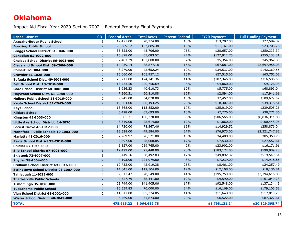### <span id="page-14-1"></span><span id="page-14-0"></span>**Oklahoma**

| <b>School District</b>                        | CD             | <b>Federal Acres</b> | <b>Total Acres</b> | <b>Percent Federal</b> | <b>FY20 Payment</b> | <b>Full Funding Payment</b> |
|-----------------------------------------------|----------------|----------------------|--------------------|------------------------|---------------------|-----------------------------|
| <b>Arapaho-Butler Public School</b>           | 3              | 12,471.00            | 70,274.80          | 18%                    | \$13,207.00         | \$27,594.32                 |
| <b>Bowring Public School</b>                  | $2^{\circ}$    | 20,689.12            | 157,885.38         | 13%                    | \$11,161.00         | \$23,703.78                 |
| Braggs School District 51-I046-000            | $\overline{2}$ | 36,325.00            | 48,706.00          | 75%                    | \$28,657.00         | \$250,333.37                |
| <b>Canadian 61-1002-000</b>                   | $\overline{2}$ | 15,878.00            | 65,083.52          | 24%                    | \$127,912.75        | \$355,133.31                |
| Chelsea School District 66-1003-000           | $\overline{2}$ | 7,483.29             | 102,808.00         | 7%                     | \$5,354.00          | \$45,962.30                 |
| Cleveland School Dist. 59-1006-000            | 3              | 14,039.14            | 88,877.18          | 16%                    | \$67,681.00         | \$2,697,958.03              |
| <b>Colbert 07-1004-000</b>                    | 2              | 8,279.00             | 42,652.24          | 19%                    | \$34,537.00         | \$142,369.56                |
| Crowder 61-I028-000                           | $\overline{2}$ | 16,060.00            | 105,957.12         | 15%                    | \$27,515.60         | \$63,752.02                 |
| Eufaula School Dist. 49-1001-000              | 2              | 25,211.00            | 174,141.36         | 14%                    | \$182,346.00        | \$316,506.68                |
| Felt School Dist. 13-I010-000                 | 3              | 13,733.50            | 220,756.69         | 6%                     | \$4,060.00          | \$9,126.08                  |
| Gore School District 68-1006-000              | 2              | 3,956.33             | 40,610.73          | 10%                    | \$5,775.00          | \$68,893.04                 |
| Haywood School Dist. 61-C088-000              | $\overline{2}$ | 7,560.31             | 60,810.88          | 12%                    | \$2,894.00          | \$17,941.61                 |
| Hulbert Public School 11-I016-000             | $\overline{2}$ | 9,945.00             | 54,070.00          | 18%                    | \$7,457.00          | \$109,672.52                |
| Keota School District 31-I043-000             | $\overline{2}$ | 19,564.00            | 86,493.25          | 23%                    | \$18,307.00         | \$39,315.51                 |
| <b>Keys School</b>                            | 3              | 18,868.00            | 113,852.00         | 17%                    | \$25,019.00         | \$239,505.26                |
| <b>Kildare School</b>                         | $\overline{2}$ | 6,428.00             | 63,693.00          | 10%                    | \$7,776.00          | \$30,271.36                 |
| Kingston 45-1003-000                          | $\overline{4}$ | 38,585.31            | 108,320.00         | 36%                    | \$506,565.00        | \$8,836,311.88              |
| Little Axe School District 14-1070            | $\overline{2}$ | 3,319.00             | 28,614.00          | 12%                    | \$1,060.00          | \$100,448.06                |
| <b>Locust Grove 46-I017-000</b>               | 3              | 14,720.00            | 78,567.46          | 19%                    | \$14,929.52         | \$258,876.04                |
| Mannford Public Schools 19-1003-000           | $\overline{4}$ | 13,528.00            | 49,584.00          | 27%                    | \$76,973.00         | \$2,321,747.82              |
| <b>Marietta 43-1016-000</b>                   | $\overline{2}$ | 7,269.97             | 76,521.00          | 10%                    | \$4,408.00          | \$85,350.70                 |
| Ravia School District 35-C010-000             | 3              | 4,897.00             | 28,068.85          | 17%                    | \$7,530.00          | \$27,557.61                 |
| <b>Shidler 57-I011-000</b>                    | 3              | 5,827.00             | 259,765.00         | 2%                     | \$23,902.00         | \$16,171.91                 |
| Silo School District 07-1001-000              | $\mathbf{1}$   | 17,429.00            | 77,440.00          | 23%                    | \$183,172.00        | \$590,989.20                |
| <b>Skiatook 72-1007-000</b>                   | 3              | 6,449.16             | 38,492.83          | 17%                    | \$49,892.37         | \$519,549.64                |
| <b>Snyder 38-1004-000</b>                     | $\overline{2}$ | 7,193.00             | 221,079.00         | 3%                     | \$7,239.00          | \$14,918.86                 |
| Stidham School District 49-C016-000           | $\overline{2}$ | 10,752.00            | 42,919.38          | 25%                    | \$8,461.00          | \$24,257.49                 |
| <b>Stringtown School District 03-I007-000</b> | $\overline{2}$ | 14,045.00            | 112,504.00         | 12%                    | \$12,108.00         | \$18,136.81                 |
| Tahlequah 11-1035-000                         | $\overline{4}$ | 32,013.47            | 78,549.00          | 41%                    | \$195,750.00        | \$2,394,615.83              |
| <b>Thackerville Public Schools</b>            | $\overline{2}$ | 4,527.79             | 38,441.00          | 12%                    | \$9,590.00          | \$161,040.23                |
| <b>Tishomingo 35-I020-000</b>                 | $\overline{2}$ | 23,749.00            | 141,905.06         | 17%                    | \$92,548.00         | \$137,134.49                |
| <b>Tuskahoma Public School</b>                | $\overline{2}$ | 16,539.83            | 70,000.00          | 24%                    | \$16,169.00         | \$179,103.58                |
| Vian School District 68-1002-000              | 2              | 11,811.00            | 85,374.05          | 14%                    | \$11,643.00         | \$117,819.23                |
| Wister School District 40-1049-000            |                | 6,469.00             | 31,873.00          | 20%                    | \$6,522.00          | \$87,327.61                 |
| <b>TOTAL</b>                                  |                | 475,615.22           | 3,064,689.78       |                        | \$1,798,121.24      | \$20,329,395.74             |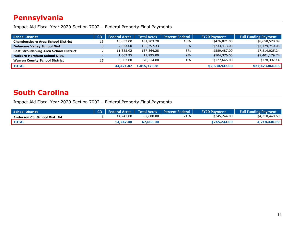#### **Pennsylvania**

Impact Aid Fiscal Year 2020 Section 7002 – Federal Property Final Payments

| School District                              | <b>CD</b> | <b>Federal Acres</b> | <b>Total Acres</b> | <b>Percent Federal</b> | <b>FY20 Payment</b> | <b>Full Funding Payment</b> |
|----------------------------------------------|-----------|----------------------|--------------------|------------------------|---------------------|-----------------------------|
| <b>Chambersburg Area School District</b>     | 13        | 15,832.00            | 161,203.20         | 10%                    | \$476,021.00        | \$8,650,528.89              |
| <b>Delaware Valley School Dist.</b>          |           | 7,633.00             | 125,797.33         | 6%                     | \$733,413,00        | \$3,179,740.05              |
| <b>East Stroudsburg Area School District</b> |           | 11,385.92            | 137,864.28         | 8%                     | \$589,487.00        | \$7,814,025.24              |
| <b>Hatboro Horsham School Dist.</b>          |           | 1,063.95             | 11,995.00          | 9%                     | \$704,376.00        | \$7,401,179.74              |
| <b>Warren County School District</b>         | 15        | 8,507.00             | 578,314.00         | $1\%$                  | \$127,645.00        | \$378,392.14                |
| <b>TOTAL</b>                                 |           | 44,421.87            | 1,015,173.81       |                        | \$2,630,942.00      | \$27,423,866.06             |

#### <span id="page-15-0"></span>**South Carolina**

| <b>School District</b>       |           |           | CD   Federal Acres   Total Acres   Percent Federal | <b>FY20 Payment</b> | <b>Full Funding Payment</b> |
|------------------------------|-----------|-----------|----------------------------------------------------|---------------------|-----------------------------|
| Anderson Co. School Dist. #4 | 14,247.00 | 67,608.00 | 21%                                                | \$245,244.00        | \$4,218,440.69              |
| TOTAL <sup>'</sup>           | 14,247.00 | 67,608.00 |                                                    | \$245,244,00        | 4.218.440.69                |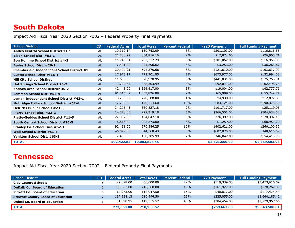### <span id="page-16-0"></span>**South Dakota**

<span id="page-16-1"></span>Impact Aid Fiscal Year 2020 Section 7002 – Federal Property Final Payments

| <b>School District</b>                        | CD        | <b>Federal Acres</b> | <b>Total Acres</b> | <b>Percent Federal</b> | <b>FY20 Payment</b> | <b>Full Funding Payment</b> |
|-----------------------------------------------|-----------|----------------------|--------------------|------------------------|---------------------|-----------------------------|
| <b>Andes Central School District 11-1</b>     | <b>AL</b> | 10,312.14            | 130,743.09         | 8%                     | \$201,103.00        | \$116,816.55                |
| <b>Bison School Dist. #52-1</b>               | <b>AL</b> | 21,288.99            | 854,816.16         | 2%                     | \$17,874.00         | \$26,953.71                 |
| <b>Bon Homme School District #4-2</b>         | <b>AL</b> | 11,749.51            | 202,312.29         | 6%                     | \$301,062.00        | \$116,953.03                |
| <b>Burke School Dist. #26-2</b>               | AL        | 7,501.00             | 224,296.62         | 3%                     | \$3,253.00          | \$36,263.87                 |
| Chamberlain Independent School District #1    | <b>AL</b> | 20,407.91            | 594,270.68         | 3%                     | \$121,610.00        | \$103,837.90                |
| <b>Custer School District 16-1</b>            | <b>AL</b> | 17,973.17            | 772,901.85         | 2%                     | \$673,977.00        | \$132,994.08                |
| <b>Hill City School Distirct</b>              | AL        | 11,600.65            | 370,928.95         | 3%                     | \$441,031.00        | \$125,268.91                |
| <b>Hot Springs School District 23-2</b>       | <b>AL</b> | 13,799.63            | 378,303.99         | 4%                     | \$92,071.00         | \$102,498.76                |
| Kadoka Area School District 35-2              | AL        | 42,448.00            | 1,324,417.00       | 3%                     | \$19,004.00         | \$42,777.76                 |
| Lemmon School Dist. #52-4                     | <b>AL</b> | 91,516.32            | 1,053,826.09       | 9%                     | \$65,999.00         | \$155,749.74                |
| Lyman Independent School District #42-1       | <b>AL</b> | 8,209.07             | 778,588.00         | $1\%$                  | \$4,930.00          | \$12,872.30                 |
| <b>Mobridge-Pollock School District #62-6</b> | <b>AL</b> | 17,209.00            | 170,514.60         | 10%                    | \$83,124.00         | \$190,375.39                |
| <b>Oelrichs Public Schools #23-3</b>          | <b>AL</b> | 34,275.43            | 360,827.18         | 9%                     | \$101,717.00        | \$25,119.05                 |
| Pierre School Dist. #32-2                     | <b>AL</b> | 14,378.00            | 227,319.18         | 6%                     | \$266,501.00        | \$504,634.53                |
| <b>Platte-Geddes School District #11-5</b>    | AL        | 22,002.00            | 404,047.10         | 5%                     | \$76,397.00         | \$128,302.19                |
| South Central School District #26-5           | <b>AL</b> | 16,813.00            | 202,273.00         | 8%                     | \$1,259.00          | \$68,951.29                 |
| Stanley Co. School Dist. #57-1                | <b>AL</b> | 92,451.00            | 970,586.25         | 10%                    | \$402,621.00        | \$266,100.32                |
| <b>Wall School District #51-5</b>             | <b>AL</b> | 46,079.00            | 844,568.43         | 5%                     | \$602,075.00        | \$48,615.59                 |
| Yankton School Dist. #63-3                    | AL        | 2,409.00             | 138,285.99         | 2%                     | \$46,042.00         | \$154,418.96                |
| <b>TOTAL</b>                                  |           | 502,422.82           | 10,003,826.45      |                        | \$3,521,650.00      | \$2,359,503.93              |

#### <span id="page-16-2"></span>**Tennessee**

| <b>School District</b>                   | CD | <b>Federal Acres</b> | <b>Total Acres</b> | <b>Percent Federal</b> | <b>FY20 Payment</b> | <b>Full Funding Payment</b> |
|------------------------------------------|----|----------------------|--------------------|------------------------|---------------------|-----------------------------|
| <b>Clay County Schools</b>               |    | 27,878.00            | 66,000.00          | 42%                    | \$119,339.00        | \$3,473,615.59              |
| <b>DeKalb Co. Board of Education</b>     |    | 38,062.00            | 210,560.00         | 18%                    | \$161,927.00        | \$578,267.80                |
| <b>Pickett Co. Board of Education</b>    |    | 17,973.00            | 112,047.50         | 16%                    | \$48,877.00         | \$117,474.44                |
| <b>Stewart County Board of Education</b> |    | 137,238.13           | 210,996.50         | 65%                    | \$225,055.00        | \$3,644,185.42              |
| Unicol Co. Board of Education            |    | 51,398.95            | 119,355.52         | 43%                    | \$204,464.00        | \$1,729,957.56              |
| <b>TOTAL</b>                             |    | 272,550.08           | 718,959.52         |                        | \$759,662.00        | \$9,543,500.81              |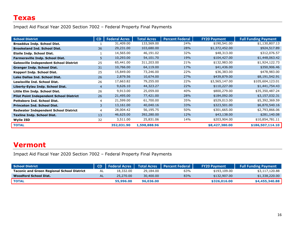<span id="page-17-0"></span>Impact Aid Fiscal Year 2020 Section 7002 – Federal Property Final Payments

| <b>School District</b>                         | CD             | <b>Federal Acres</b> | <b>Total Acres</b> | <b>Percent Federal</b> | <b>FY20 Payment</b> | <b>Full Funding Payment</b> |
|------------------------------------------------|----------------|----------------------|--------------------|------------------------|---------------------|-----------------------------|
| <b>Broaddus Indp. School Dist.</b>             |                | 31,409.00            | 133,569.00         | 24%                    | \$190,541.00        | \$1,130,807.13              |
| <b>Brookeland Ind. School Dist.</b>            | 36             | 29,231.00            | 103,680.00         | 28%                    | \$1,372,452.00      | \$924,517.89                |
| <b>Etoile Indp. School Dist.</b>               |                | 14,565.00            | 46,191.02          | 32%                    | \$48,313.00         | \$312,076.57                |
| Farmersville Indp. School Dist.                | 5              | 10,293.00            | 54,101.70          | 19%                    | \$104,427.00        | \$1,448,063.42              |
| <b>Gatesville Independent School District</b>  | 25             | 65,441.00            | 311,203.00         | 21%                    | \$132,983.00        | \$1,924,122.73              |
| <b>Granger Indp. School Dist.</b>              | 31             | 10,766.00            | 64,119.00          | 17%                    | \$41,436.00         | \$350,906.46                |
| Kopperl Indp. School Dist.                     | 25             | 15,849.00            | 73,246.00          | 22%                    | \$36,383.00         | \$478,983.00                |
| Lake Dallas Ind. School Dist.                  | 26             | 2,879.56             | 10,674.00          | 27%                    | \$439,879.00        | \$8,191,542.91              |
| Lewisville Ind. School Dist.                   | 26             | 17,663.82            | 79,255.00          | 22%                    | \$3,565,147.00      | \$105,604,123.01            |
| Liberty-Eylau Indp. School Dist.               | $\overline{4}$ | 9,626.10             | 44,323.27          | 22%                    | \$110,227.00        | \$1,441,754.43              |
| Little Elm Indp. School Dist.                  | 26             | 9,913.00             | 25,059.00          | 40%                    | \$800,279.00        | \$35,350,487.24             |
| <b>Pilot Point Independent School District</b> | 26             | 21,495.00            | 77,421.00          | 28%                    | \$184,092.00        | \$3,157,032.31              |
| <b>Pottsboro Ind. School Dist.</b>             | 4              | 21,599.00            | 61,700.00          | 35%                    | \$529,013.00        | \$5,392,369.59              |
| <b>Princeton Ind. School Dist.</b>             | 3              | 13,161.00            | 40,040.16          | 33%                    | \$323,501.00        | \$6,870,540.16              |
| <b>Redwater Independent School District</b>    | 4              | 28,004.42            | 56,195.75          | 50%                    | \$301,665.00        | \$2,793,866.06              |
| <b>Texline Indp. School Dist.</b>              | 13             | 46,625.00            | 392,280.00         | 12%                    | \$43,138.00         | \$281,140.08                |
| Wylie ISD                                      | 32             | 3,511.00             | 25,831.06          | 14%                    | \$203,904.00        | \$10,854,781.11             |
| <b>TOTAL</b>                                   |                | 352,031.90           | 1,598,888.96       |                        | \$8,427,380.00      | \$186,507,114.10            |

#### **Vermont**

| School District                                   |    | CD   Federal Acres | <b>Total Acres</b> | <b>Percent Federal</b> | <b>FY20 Payment</b> | <b>Full Funding Payment</b> |
|---------------------------------------------------|----|--------------------|--------------------|------------------------|---------------------|-----------------------------|
| <b>Taconic and Green Regional School District</b> | AL | 18,332.00          | 29,184.00          | 63%                    | \$193,109.00        | \$3,117,120.88              |
| Woodford School Dist.                             | AL | 25,270.00          | 30,400.00          | 83%                    | \$132,907,00        | \$1,338,220.00              |
| <b>TOTAL</b>                                      |    | 55,996.00          | 96,036,00          |                        | \$326,016,00        | \$4,455,340.88              |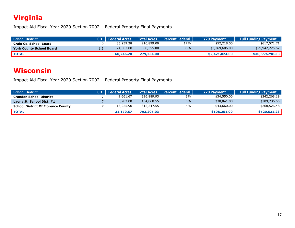### <span id="page-18-0"></span>**Virginia**

Impact Aid Fiscal Year 2020 Section 7002 – Federal Property Final Payments

| School District                 | CD <sub>1</sub> | <b>Federal Acres</b> |            | Total Acres   Percent Federal | <b>FY20 Payment</b> | <b>Full Funding Payment</b> |
|---------------------------------|-----------------|----------------------|------------|-------------------------------|---------------------|-----------------------------|
| Craig Co. School Board          |                 | 35,939.28            | 210,899.00 | 17%                           | \$52,218.00         | \$617,572.71                |
| <b>York County School Board</b> | ⊥,∟             | 24,307.00            | 68,355.00  | 36%                           | \$2,369,606.00      | \$29,942,225.62             |
| <b>TOTAL</b>                    |                 | 60,246.28            | 279,254.00 |                               | \$2,421,824,00      | \$30,559,798.33             |

#### <span id="page-18-1"></span>**Wisconsin**

| <b>School District</b>                    | CD | <b>Federal Acres</b> | <b>Total Acres</b> | <b>Note Percent Federal</b> | <b>FY20 Payment</b> | <b>Full Funding Payment</b> |
|-------------------------------------------|----|----------------------|--------------------|-----------------------------|---------------------|-----------------------------|
| <b>Crandon School District</b>            |    | 9.661.67             | 326,889.93         | 3%                          | \$34,550.00         | \$242,268.19                |
| Laona Jt. School Dist. #1                 |    | 8,283.00             | 154,068.55         | 5%                          | \$30,041.00         | \$109,736.56                |
| <b>School District Of Florence County</b> |    | 13,225.90            | 312,247.55         | 4%                          | \$43,660.00         | \$268,526.48                |
| <b>TOTAL</b>                              |    | 31,170.57            | 793,206.03         |                             | \$108,251,00        | \$620,531.23                |